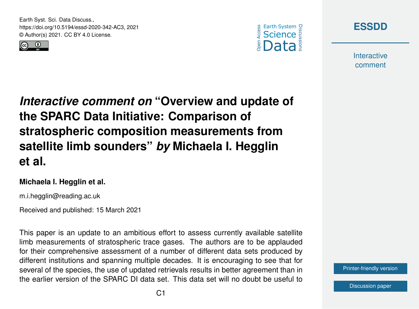Earth Syst. Sci. Data Discuss., https://doi.org/10.5194/essd-2020-342-AC3, 2021 © Author(s) 2021. CC BY 4.0 License.







**Interactive** comment

*Interactive comment on* **"Overview and update of the SPARC Data Initiative: Comparison of stratospheric composition measurements from satellite limb sounders"** *by* **Michaela I. Hegglin et al.**

### **Michaela I. Hegglin et al.**

m.i.hegglin@reading.ac.uk

Received and published: 15 March 2021

This paper is an update to an ambitious effort to assess currently available satellite limb measurements of stratospheric trace gases. The authors are to be applauded for their comprehensive assessment of a number of different data sets produced by different institutions and spanning multiple decades. It is encouraging to see that for several of the species, the use of updated retrievals results in better agreement than in the earlier version of the SPARC DI data set. This data set will no doubt be useful to

[Printer-friendly version](https://essd.copernicus.org/preprints/essd-2020-342/essd-2020-342-AC3-print.pdf)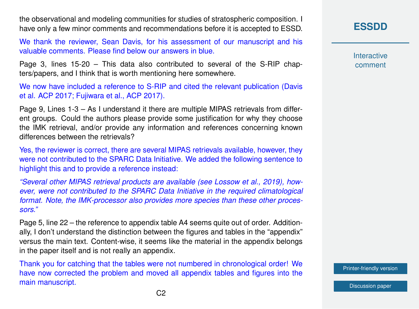the observational and modeling communities for studies of stratospheric composition. I have only a few minor comments and recommendations before it is accepted to ESSD.

We thank the reviewer, Sean Davis, for his assessment of our manuscript and his valuable comments. Please find below our answers in blue.

Page 3, lines 15-20 – This data also contributed to several of the S-RIP chapters/papers, and I think that is worth mentioning here somewhere.

We now have included a reference to S-RIP and cited the relevant publication (Davis et al. ACP 2017; Fujiwara et al., ACP 2017).

Page 9, Lines 1-3 – As I understand it there are multiple MIPAS retrievals from different groups. Could the authors please provide some justification for why they choose the IMK retrieval, and/or provide any information and references concerning known differences between the retrievals?

Yes, the reviewer is correct, there are several MIPAS retrievals available, however, they were not contributed to the SPARC Data Initiative. We added the following sentence to highlight this and to provide a reference instead:

*"Several other MIPAS retrieval products are available (see Lossow et al., 2019), however, were not contributed to the SPARC Data Initiative in the required climatological format. Note, the IMK-processor also provides more species than these other processors."*

Page 5, line 22 – the reference to appendix table A4 seems quite out of order. Additionally, I don't understand the distinction between the figures and tables in the "appendix" versus the main text. Content-wise, it seems like the material in the appendix belongs in the paper itself and is not really an appendix.

Thank you for catching that the tables were not numbered in chronological order! We have now corrected the problem and moved all appendix tables and figures into the main manuscript.

**[ESSDD](https://essd.copernicus.org/preprints/)**

**Interactive** comment

[Printer-friendly version](https://essd.copernicus.org/preprints/essd-2020-342/essd-2020-342-AC3-print.pdf)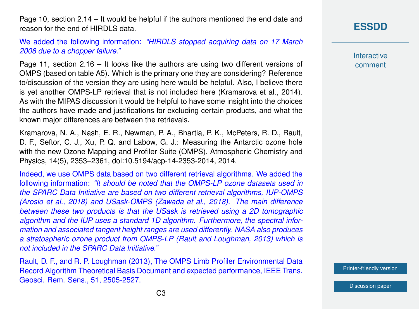Page 10, section 2.14 – It would be helpful if the authors mentioned the end date and reason for the end of HIRDLS data.

### We added the following information: *"HIRDLS stopped acquiring data on 17 March 2008 due to a chopper failure."*

Page 11, section 2.16 – It looks like the authors are using two different versions of OMPS (based on table A5). Which is the primary one they are considering? Reference to/discussion of the version they are using here would be helpful. Also, I believe there is yet another OMPS-LP retrieval that is not included here (Kramarova et al., 2014). As with the MIPAS discussion it would be helpful to have some insight into the choices the authors have made and justifications for excluding certain products, and what the known major differences are between the retrievals.

Kramarova, N. A., Nash, E. R., Newman, P. A., Bhartia, P. K., McPeters, R. D., Rault, D. F., Seftor, C. J., Xu, P. Q. and Labow, G. J.: Measuring the Antarctic ozone hole with the new Ozone Mapping and Profiler Suite (OMPS), Atmospheric Chemistry and Physics, 14(5), 2353–2361, doi:10.5194/acp-14-2353-2014, 2014.

Indeed, we use OMPS data based on two different retrieval algorithms. We added the following information: *"It should be noted that the OMPS-LP ozone datasets used in the SPARC Data Initiative are based on two different retrieval algorithms, IUP-OMPS (Arosio et al., 2018) and USask-OMPS (Zawada et al., 2018). The main difference between these two products is that the USask is retrieved using a 2D tomographic algorithm and the IUP uses a standard 1D algorithm. Furthermore, the spectral information and associated tangent height ranges are used differently. NASA also produces a stratospheric ozone product from OMPS-LP (Rault and Loughman, 2013) which is not included in the SPARC Data Initiative."*

Rault, D. F., and R. P. Loughman (2013), The OMPS Limb Profiler Environmental Data Record Algorithm Theoretical Basis Document and expected performance, IEEE Trans. Geosci. Rem. Sens., 51, 2505-2527.

# **[ESSDD](https://essd.copernicus.org/preprints/)**

**Interactive** comment

[Printer-friendly version](https://essd.copernicus.org/preprints/essd-2020-342/essd-2020-342-AC3-print.pdf)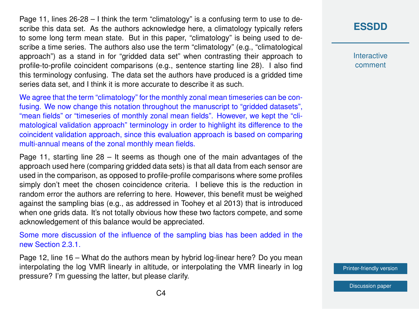Page 11, lines 26-28 – I think the term "climatology" is a confusing term to use to describe this data set. As the authors acknowledge here, a climatology typically refers to some long term mean state. But in this paper, "climatology" is being used to describe a time series. The authors also use the term "climatology" (e.g., "climatological approach") as a stand in for "gridded data set" when contrasting their approach to profile-to-profile coincident comparisons (e.g., sentence starting line 28). I also find this terminology confusing. The data set the authors have produced is a gridded time series data set, and I think it is more accurate to describe it as such.

We agree that the term "climatology" for the monthly zonal mean timeseries can be confusing. We now change this notation throughout the manuscript to "gridded datasets", "mean fields" or "timeseries of monthly zonal mean fields". However, we kept the "climatological validation approach" terminology in order to highlight its difference to the coincident validation approach, since this evaluation approach is based on comparing multi-annual means of the zonal monthly mean fields.

Page 11, starting line 28 – It seems as though one of the main advantages of the approach used here (comparing gridded data sets) is that all data from each sensor are used in the comparison, as opposed to profile-profile comparisons where some profiles simply don't meet the chosen coincidence criteria. I believe this is the reduction in random error the authors are referring to here. However, this benefit must be weighed against the sampling bias (e.g., as addressed in Toohey et al 2013) that is introduced when one grids data. It's not totally obvious how these two factors compete, and some acknowledgement of this balance would be appreciated.

Some more discussion of the influence of the sampling bias has been added in the new Section 2.3.1.

Page 12, line 16 – What do the authors mean by hybrid log-linear here? Do you mean interpolating the log VMR linearly in altitude, or interpolating the VMR linearly in log pressure? I'm guessing the latter, but please clarify.

# **[ESSDD](https://essd.copernicus.org/preprints/)**

**Interactive** comment

[Printer-friendly version](https://essd.copernicus.org/preprints/essd-2020-342/essd-2020-342-AC3-print.pdf)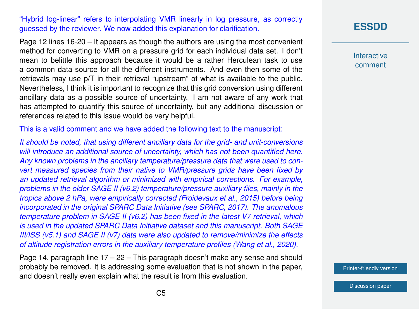"Hybrid log-linear" refers to interpolating VMR linearly in log pressure, as correctly guessed by the reviewer. We now added this explanation for clarification.

Page 12 lines 16-20 – It appears as though the authors are using the most convenient method for converting to VMR on a pressure grid for each individual data set. I don't mean to belittle this approach because it would be a rather Herculean task to use a common data source for all the different instruments. And even then some of the retrievals may use p/T in their retrieval "upstream" of what is available to the public. Nevertheless, I think it is important to recognize that this grid conversion using different ancillary data as a possible source of uncertainty. I am not aware of any work that has attempted to quantify this source of uncertainty, but any additional discussion or references related to this issue would be very helpful.

This is a valid comment and we have added the following text to the manuscript:

*It should be noted, that using different ancillary data for the grid- and unit-conversions will introduce an additional source of uncertainty, which has not been quantified here. Any known problems in the ancillary temperature/pressure data that were used to convert measured species from their native to VMR/pressure grids have been fixed by an updated retrieval algorithm or minimized with empirical corrections. For example, problems in the older SAGE II (v6.2) temperature/pressure auxiliary files, mainly in the tropics above 2 hPa, were empirically corrected (Froidevaux et al., 2015) before being incorporated in the original SPARC Data Initiative (see SPARC, 2017). The anomalous temperature problem in SAGE II (v6.2) has been fixed in the latest V7 retrieval, which is used in the updated SPARC Data Initiative dataset and this manuscript. Both SAGE III/ISS (v5.1) and SAGE II (v7) data were also updated to remove/minimize the effects of altitude registration errors in the auxiliary temperature profiles (Wang et al., 2020).*

Page 14, paragraph line 17 – 22 – This paragraph doesn't make any sense and should probably be removed. It is addressing some evaluation that is not shown in the paper, and doesn't really even explain what the result is from this evaluation.

# **[ESSDD](https://essd.copernicus.org/preprints/)**

**Interactive** comment

[Printer-friendly version](https://essd.copernicus.org/preprints/essd-2020-342/essd-2020-342-AC3-print.pdf)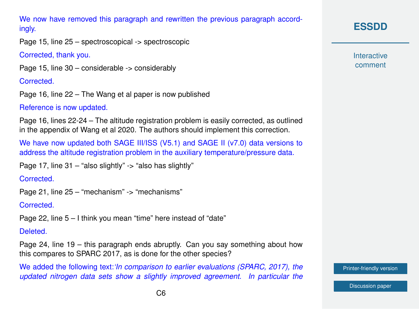We now have removed this paragraph and rewritten the previous paragraph accordingly.

Page 15, line 25 – spectroscopical -> spectroscopic

Corrected, thank you.

Page 15, line 30 – considerable -> considerably

Corrected.

Page 16, line 22 – The Wang et al paper is now published

Reference is now updated.

Page 16, lines 22-24 – The altitude registration problem is easily corrected, as outlined in the appendix of Wang et al 2020. The authors should implement this correction.

We have now updated both SAGE III/ISS (V5.1) and SAGE II (v7.0) data versions to address the altitude registration problem in the auxiliary temperature/pressure data.

Page 17, line 31 – "also slightly" -> "also has slightly"

Corrected.

```
Page 21, line 25 – "mechanism" -> "mechanisms"
```
**Corrected.** 

Page 22, line 5 – I think you mean "time" here instead of "date"

Deleted.

Page 24, line 19 – this paragraph ends abruptly. Can you say something about how this compares to SPARC 2017, as is done for the other species?

We added the following text:*'In comparison to earlier evaluations (SPARC, 2017), the updated nitrogen data sets show a slightly improved agreement. In particular the* **[ESSDD](https://essd.copernicus.org/preprints/)**

**Interactive** comment

[Printer-friendly version](https://essd.copernicus.org/preprints/essd-2020-342/essd-2020-342-AC3-print.pdf)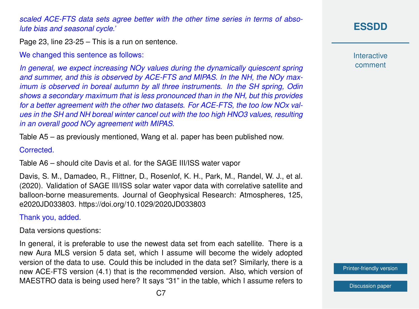*scaled ACE-FTS data sets agree better with the other time series in terms of absolute bias and seasonal cycle.'*

Page 23, line 23-25 – This is a run on sentence.

We changed this sentence as follows:

*In general, we expect increasing NOy values during the dynamically quiescent spring and summer, and this is observed by ACE-FTS and MIPAS. In the NH, the NOy maximum is observed in boreal autumn by all three instruments. In the SH spring, Odin shows a secondary maximum that is less pronounced than in the NH, but this provides for a better agreement with the other two datasets. For ACE-FTS, the too low NOx values in the SH and NH boreal winter cancel out with the too high HNO3 values, resulting in an overall good NOy agreement with MIPAS.*

Table A5 – as previously mentioned, Wang et al. paper has been published now.

#### Corrected.

Table A6 – should cite Davis et al. for the SAGE III/ISS water vapor

Davis, S. M., Damadeo, R., Flittner, D., Rosenlof, K. H., Park, M., Randel, W. J., et al. (2020). Validation of SAGE III/ISS solar water vapor data with correlative satellite and balloon-borne measurements. Journal of Geophysical Research: Atmospheres, 125, e2020JD033803. https://doi.org/10.1029/2020JD033803

Thank you, added.

Data versions questions:

In general, it is preferable to use the newest data set from each satellite. There is a new Aura MLS version 5 data set, which I assume will become the widely adopted version of the data to use. Could this be included in the data set? Similarly, there is a new ACE-FTS version (4.1) that is the recommended version. Also, which version of MAESTRO data is being used here? It says "31" in the table, which I assume refers to

## **[ESSDD](https://essd.copernicus.org/preprints/)**

**Interactive** comment

[Printer-friendly version](https://essd.copernicus.org/preprints/essd-2020-342/essd-2020-342-AC3-print.pdf)